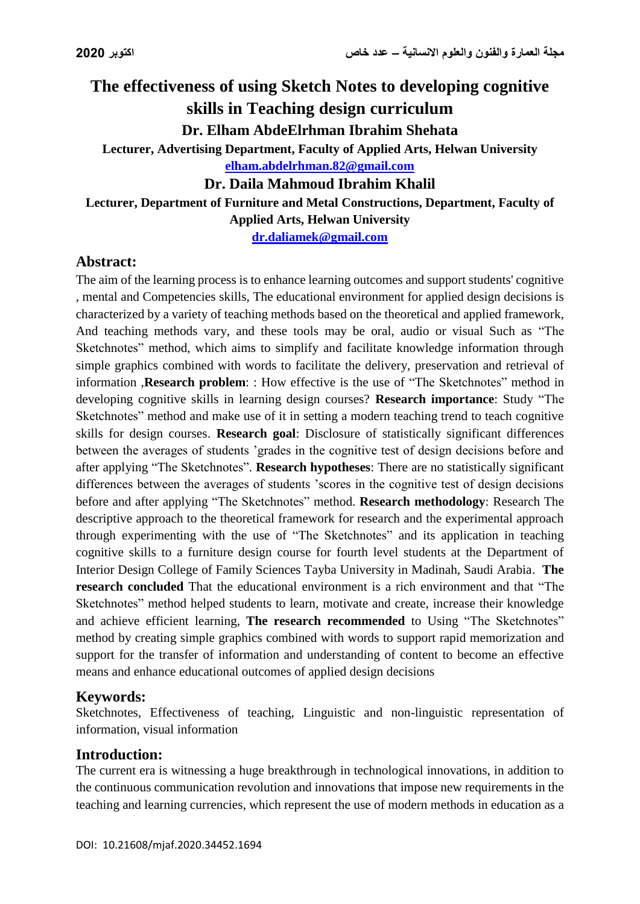# **The effectiveness of using Sketch Notes to developing cognitive skills in Teaching design curriculum Dr. Elham AbdeElrhman Ibrahim Shehata**

**Lecturer, Advertising Department, Faculty of Applied Arts, Helwan University [elham.abdelrhman.82@gmail.com](mailto:elham.abdelrhman.82@gmail.com)**

## **Dr. Daila Mahmoud Ibrahim Khalil**

**Lecturer, Department of Furniture and Metal Constructions, Department, Faculty of Applied Arts, Helwan University**

**[dr.daliamek@gmail.com](mailto:dr.daliamek@gmail.com)**

## **Abstract:**

The aim of the learning process is to enhance learning outcomes and support students' cognitive , mental and Competencies skills, The educational environment for applied design decisions is characterized by a variety of teaching methods based on the theoretical and applied framework, And teaching methods vary, and these tools may be oral, audio or visual Such as "The Sketchnotes" method, which aims to simplify and facilitate knowledge information through simple graphics combined with words to facilitate the delivery, preservation and retrieval of information ,**Research problem**: : How effective is the use of "The Sketchnotes" method in developing cognitive skills in learning design courses? **Research importance**: Study "The Sketchnotes" method and make use of it in setting a modern teaching trend to teach cognitive skills for design courses. **Research goal**: Disclosure of statistically significant differences between the averages of students 'grades in the cognitive test of design decisions before and after applying "The Sketchnotes". **Research hypotheses**: There are no statistically significant differences between the averages of students 'scores in the cognitive test of design decisions before and after applying "The Sketchnotes" method. **Research methodology**: Research The descriptive approach to the theoretical framework for research and the experimental approach through experimenting with the use of "The Sketchnotes" and its application in teaching cognitive skills to a furniture design course for fourth level students at the Department of Interior Design College of Family Sciences Tayba University in Madinah, Saudi Arabia. **The research concluded** That the educational environment is a rich environment and that "The Sketchnotes" method helped students to learn, motivate and create, increase their knowledge and achieve efficient learning, **The research recommended** to Using "The Sketchnotes" method by creating simple graphics combined with words to support rapid memorization and support for the transfer of information and understanding of content to become an effective means and enhance educational outcomes of applied design decisions

## **Keywords:**

Sketchnotes, Effectiveness of teaching, Linguistic and non-linguistic representation of information, visual information

### **Introduction:**

The current era is witnessing a huge breakthrough in technological innovations, in addition to the continuous communication revolution and innovations that impose new requirements in the teaching and learning currencies, which represent the use of modern methods in education as a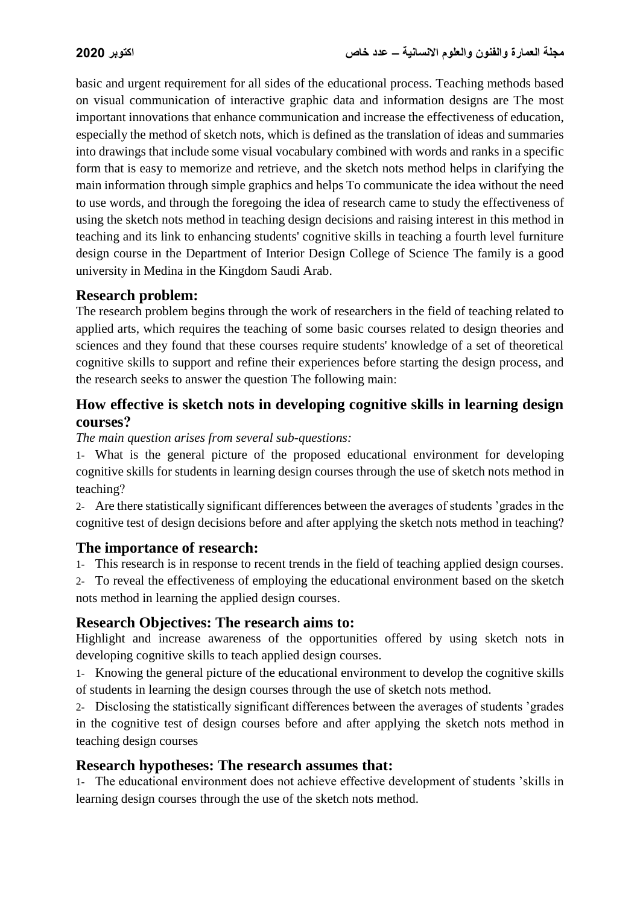basic and urgent requirement for all sides of the educational process. Teaching methods based on visual communication of interactive graphic data and information designs are The most important innovations that enhance communication and increase the effectiveness of education, especially the method of sketch nots, which is defined as the translation of ideas and summaries into drawings that include some visual vocabulary combined with words and ranks in a specific form that is easy to memorize and retrieve, and the sketch nots method helps in clarifying the main information through simple graphics and helps To communicate the idea without the need to use words, and through the foregoing the idea of research came to study the effectiveness of using the sketch nots method in teaching design decisions and raising interest in this method in teaching and its link to enhancing students' cognitive skills in teaching a fourth level furniture design course in the Department of Interior Design College of Science The family is a good university in Medina in the Kingdom Saudi Arab.

## **Research problem:**

The research problem begins through the work of researchers in the field of teaching related to applied arts, which requires the teaching of some basic courses related to design theories and sciences and they found that these courses require students' knowledge of a set of theoretical cognitive skills to support and refine their experiences before starting the design process, and the research seeks to answer the question The following main:

## **How effective is sketch nots in developing cognitive skills in learning design courses?**

*The main question arises from several sub-questions:*

1- What is the general picture of the proposed educational environment for developing cognitive skills for students in learning design courses through the use of sketch nots method in teaching?

2- Are there statistically significant differences between the averages of students 'grades in the cognitive test of design decisions before and after applying the sketch nots method in teaching?

### **The importance of research:**

1- This research is in response to recent trends in the field of teaching applied design courses.

2- To reveal the effectiveness of employing the educational environment based on the sketch nots method in learning the applied design courses.

### **Research Objectives: The research aims to:**

Highlight and increase awareness of the opportunities offered by using sketch nots in developing cognitive skills to teach applied design courses.

1- Knowing the general picture of the educational environment to develop the cognitive skills of students in learning the design courses through the use of sketch nots method.

2- Disclosing the statistically significant differences between the averages of students 'grades in the cognitive test of design courses before and after applying the sketch nots method in teaching design courses

### **Research hypotheses: The research assumes that:**

1- The educational environment does not achieve effective development of students 'skills in learning design courses through the use of the sketch nots method.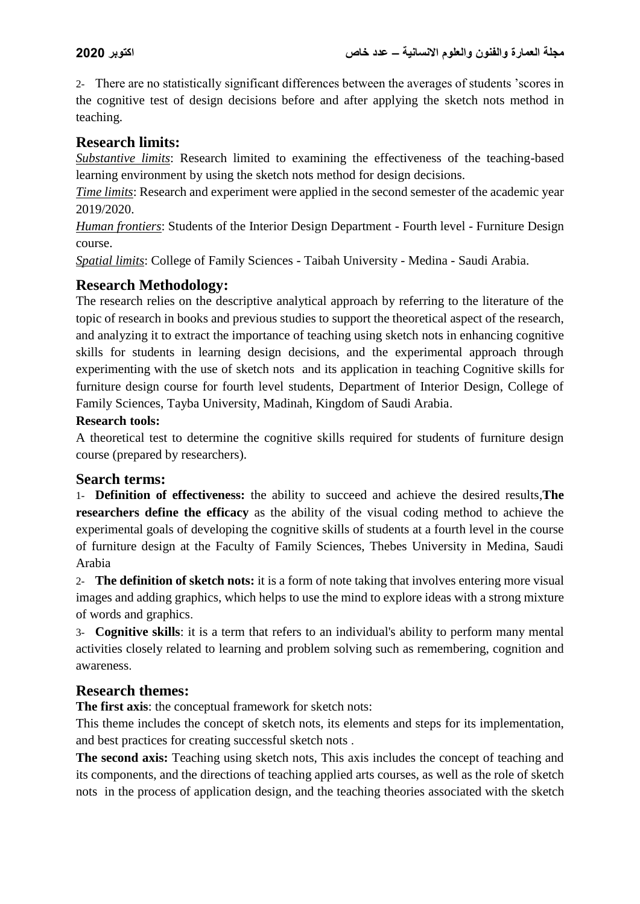2- There are no statistically significant differences between the averages of students 'scores in the cognitive test of design decisions before and after applying the sketch nots method in teaching.

## **Research limits:**

*Substantive limits*: Research limited to examining the effectiveness of the teaching-based learning environment by using the sketch nots method for design decisions.

*Time limits*: Research and experiment were applied in the second semester of the academic year 2019/2020.

*Human frontiers*: Students of the Interior Design Department - Fourth level - Furniture Design course.

*Spatial limits*: College of Family Sciences - Taibah University - Medina - Saudi Arabia.

### **Research Methodology:**

The research relies on the descriptive analytical approach by referring to the literature of the topic of research in books and previous studies to support the theoretical aspect of the research, and analyzing it to extract the importance of teaching using sketch nots in enhancing cognitive skills for students in learning design decisions, and the experimental approach through experimenting with the use of sketch nots and its application in teaching Cognitive skills for furniture design course for fourth level students, Department of Interior Design, College of Family Sciences, Tayba University, Madinah, Kingdom of Saudi Arabia.

#### **Research tools:**

A theoretical test to determine the cognitive skills required for students of furniture design course (prepared by researchers).

### **Search terms:**

1- **Definition of effectiveness:** the ability to succeed and achieve the desired results,**The researchers define the efficacy** as the ability of the visual coding method to achieve the experimental goals of developing the cognitive skills of students at a fourth level in the course of furniture design at the Faculty of Family Sciences, Thebes University in Medina, Saudi Arabia

2- **The definition of sketch nots:** it is a form of note taking that involves entering more visual images and adding graphics, which helps to use the mind to explore ideas with a strong mixture of words and graphics.

3- **Cognitive skills**: it is a term that refers to an individual's ability to perform many mental activities closely related to learning and problem solving such as remembering, cognition and awareness.

### **Research themes:**

**The first axis**: the conceptual framework for sketch nots:

This theme includes the concept of sketch nots, its elements and steps for its implementation, and best practices for creating successful sketch nots .

**The second axis:** Teaching using sketch nots, This axis includes the concept of teaching and its components, and the directions of teaching applied arts courses, as well as the role of sketch nots in the process of application design, and the teaching theories associated with the sketch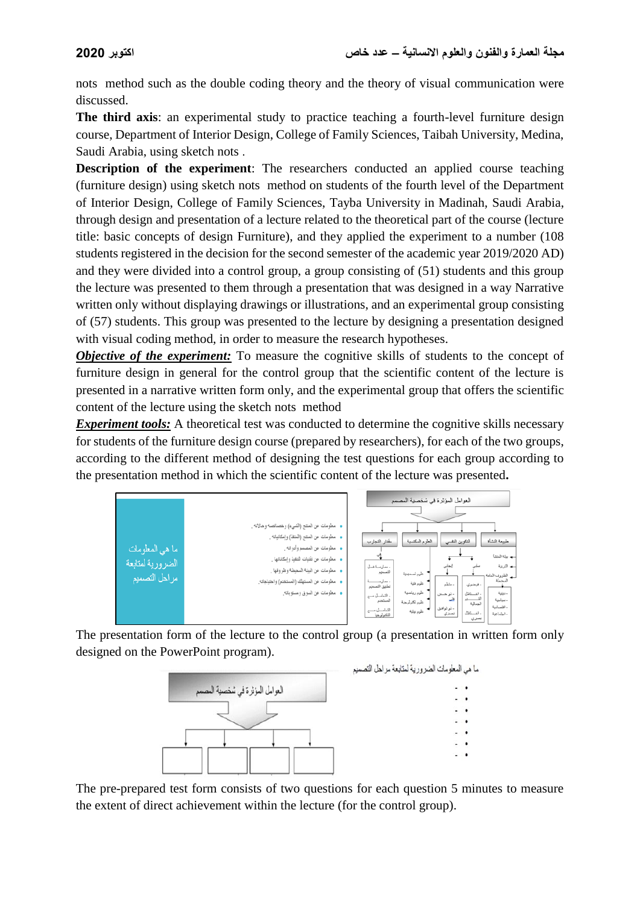nots method such as the double coding theory and the theory of visual communication were discussed.

**The third axis**: an experimental study to practice teaching a fourth-level furniture design course, Department of Interior Design, College of Family Sciences, Taibah University, Medina, Saudi Arabia, using sketch nots .

**Description of the experiment**: The researchers conducted an applied course teaching (furniture design) using sketch nots method on students of the fourth level of the Department of Interior Design, College of Family Sciences, Tayba University in Madinah, Saudi Arabia, through design and presentation of a lecture related to the theoretical part of the course (lecture title: basic concepts of design Furniture), and they applied the experiment to a number (108 students registered in the decision for the second semester of the academic year 2019/2020 AD) and they were divided into a control group, a group consisting of (51) students and this group the lecture was presented to them through a presentation that was designed in a way Narrative written only without displaying drawings or illustrations, and an experimental group consisting of (57) students. This group was presented to the lecture by designing a presentation designed with visual coding method, in order to measure the research hypotheses.

*Objective of the experiment:* To measure the cognitive skills of students to the concept of furniture design in general for the control group that the scientific content of the lecture is presented in a narrative written form only, and the experimental group that offers the scientific content of the lecture using the sketch nots method

**Experiment tools:** A theoretical test was conducted to determine the cognitive skills necessary for students of the furniture design course (prepared by researchers), for each of the two groups, according to the different method of designing the test questions for each group according to the presentation method in which the scientific content of the lecture was presented**.**



The presentation form of the lecture to the control group (a presentation in written form only designed on the PowerPoint program).



The pre-prepared test form consists of two questions for each question 5 minutes to measure the extent of direct achievement within the lecture (for the control group).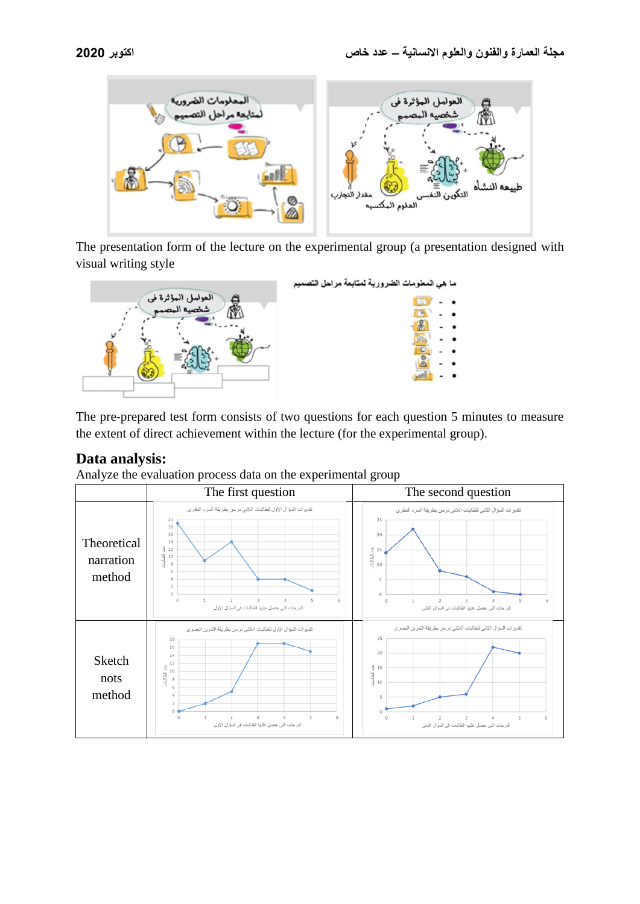



The presentation form of the lecture on the experimental group (a presentation designed with visual writing style



The pre-prepared test form consists of two questions for each question 5 minutes to measure the extent of direct achievement within the lecture (for the experimental group).

### **Data analysis:**

Analyze the evaluation process data on the experimental group

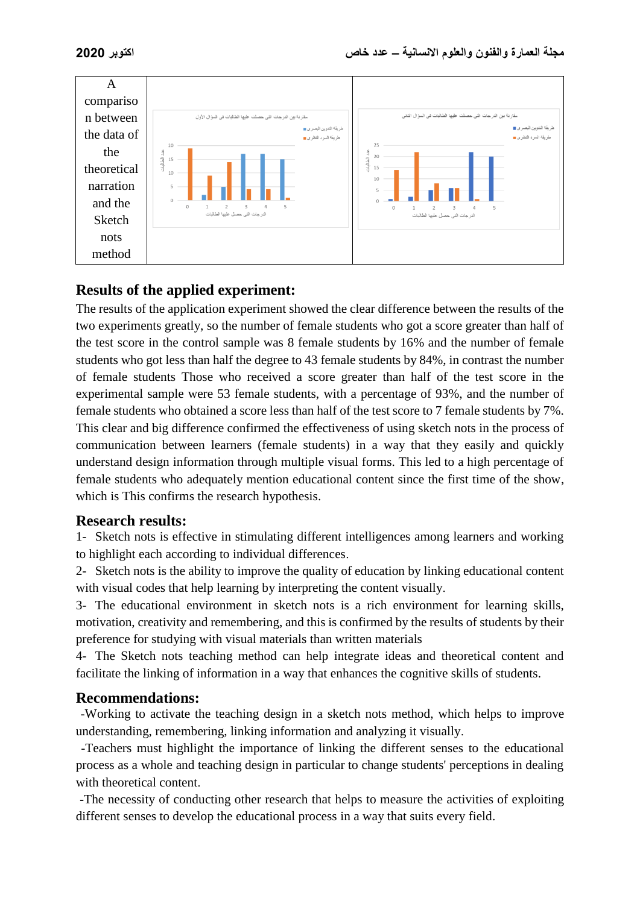



## **Results of the applied experiment:**

The results of the application experiment showed the clear difference between the results of the two experiments greatly, so the number of female students who got a score greater than half of the test score in the control sample was 8 female students by 16% and the number of female students who got less than half the degree to 43 female students by 84%, in contrast the number of female students Those who received a score greater than half of the test score in the experimental sample were 53 female students, with a percentage of 93%, and the number of female students who obtained a score less than half of the test score to 7 female students by 7%. This clear and big difference confirmed the effectiveness of using sketch nots in the process of communication between learners (female students) in a way that they easily and quickly understand design information through multiple visual forms. This led to a high percentage of female students who adequately mention educational content since the first time of the show, which is This confirms the research hypothesis.

### **Research results:**

1- Sketch nots is effective in stimulating different intelligences among learners and working to highlight each according to individual differences.

2- Sketch nots is the ability to improve the quality of education by linking educational content with visual codes that help learning by interpreting the content visually.

3- The educational environment in sketch nots is a rich environment for learning skills, motivation, creativity and remembering, and this is confirmed by the results of students by their preference for studying with visual materials than written materials

4- The Sketch nots teaching method can help integrate ideas and theoretical content and facilitate the linking of information in a way that enhances the cognitive skills of students.

### **Recommendations:**

-Working to activate the teaching design in a sketch nots method, which helps to improve understanding, remembering, linking information and analyzing it visually.

-Teachers must highlight the importance of linking the different senses to the educational process as a whole and teaching design in particular to change students' perceptions in dealing with theoretical content.

-The necessity of conducting other research that helps to measure the activities of exploiting different senses to develop the educational process in a way that suits every field.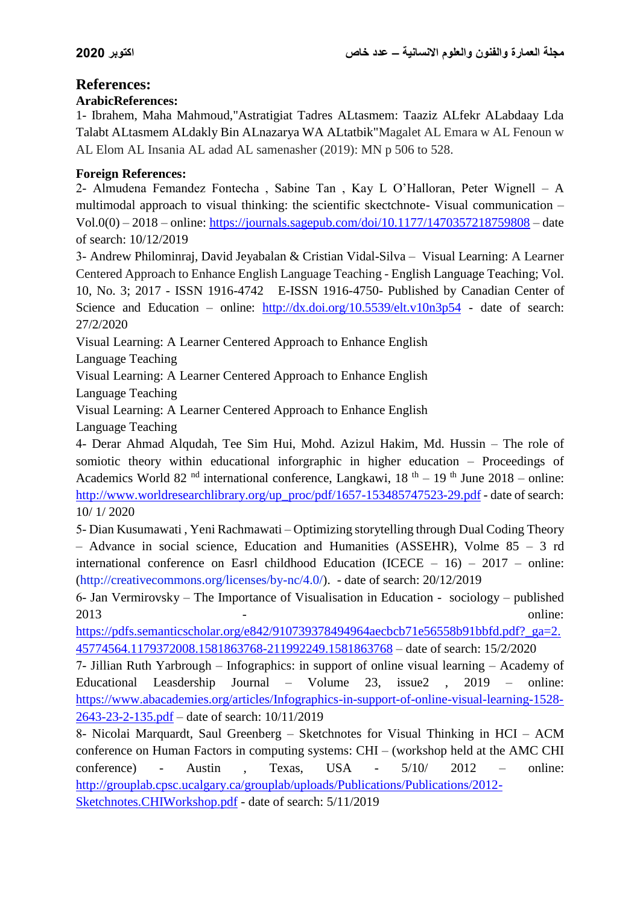## **References:**

#### **ArabicReferences:**

1- Ibrahem, Maha Mahmoud,"Astratigiat Tadres ALtasmem: Taaziz ALfekr ALabdaay Lda Talabt ALtasmem ALdakly Bin ALnazarya WA ALtatbik"Magalet AL Emara w AL Fenoun w AL Elom AL Insania AL adad AL samenasher (2019): MN p 506 to 528.

#### **Foreign References:**

2- Almudena Femandez Fontecha , Sabine Tan , Kay L O'Halloran, Peter Wignell – A multimodal approach to visual thinking: the scientific skectchnote- Visual communication – Vol.0(0) – 2018 – online: [https://journals.sagepub.com/doi/10.1177/1470357218759808](about:blank) – date of search: 10/12/2019

3- Andrew Philominraj, David Jeyabalan & Cristian Vidal-Silva – Visual Learning: A Learner Centered Approach to Enhance English Language Teaching - English Language Teaching; Vol. 10, No. 3; 2017 - ISSN 1916-4742 E-ISSN 1916-4750- Published by Canadian Center of Science and Education – online: [http://dx.doi.org/10.5539/elt.v10n3p54](about:blank) - date of search: 27/2/2020

Visual Learning: A Learner Centered Approach to Enhance English

Language Teaching

Visual Learning: A Learner Centered Approach to Enhance English Language Teaching

Visual Learning: A Learner Centered Approach to Enhance English Language Teaching

4- Derar Ahmad Alqudah, Tee Sim Hui, Mohd. Azizul Hakim, Md. Hussin – The role of somiotic theory within educational inforgraphic in higher education – Proceedings of Academics World 82<sup>nd</sup> international conference, Langkawi,  $18$ <sup>th</sup> –  $19$ <sup>th</sup> June 2018 – online: [http://www.worldresearchlibrary.org/up\\_proc/pdf/1657-153485747523-29.pdf](about:blank) - date of search: 10/ 1/ 2020

5- Dian Kusumawati , Yeni Rachmawati – Optimizing storytelling through Dual Coding Theory – Advance in social science, Education and Humanities (ASSEHR), Volme 85 – 3 rd international conference on Easrl childhood Education (ICECE  $-16$ ) – 2017 – online: (http://creativecommons.org/licenses/by-nc/4.0/). - date of search: 20/12/2019

6- Jan Vermirovsky – The Importance of Visualisation in Education - sociology – published 2013 **-** online:

[https://pdfs.semanticscholar.org/e842/910739378494964aecbcb71e56558b91bbfd.pdf?\\_ga=2.](about:blank) [45774564.1179372008.1581863768-211992249.1581863768](about:blank) – date of search: 15/2/2020

7- Jillian Ruth Yarbrough – Infographics: in support of online visual learning – Academy of Educational Leasdership Journal – Volume 23, issue2 , 2019 – online: [https://www.abacademies.org/articles/Infographics-in-support-of-online-visual-learning-1528-](about:blank) [2643-23-2-135.pdf](about:blank) – date of search: 10/11/2019

8- Nicolai Marquardt, Saul Greenberg – Sketchnotes for Visual Thinking in HCI – ACM conference on Human Factors in computing systems: CHI – (workshop held at the AMC CHI conference) - Austin , Texas, USA - 5/10/ 2012 – online: [http://grouplab.cpsc.ucalgary.ca/grouplab/uploads/Publications/Publications/2012-](about:blank) [Sketchnotes.CHIWorkshop.pdf](about:blank) - date of search: 5/11/2019